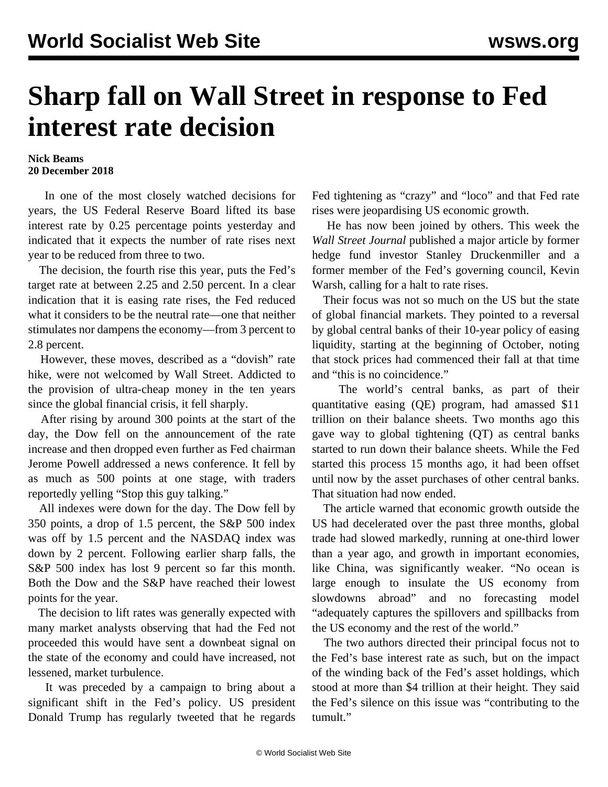## **Sharp fall on Wall Street in response to Fed interest rate decision**

## **Nick Beams 20 December 2018**

 In one of the most closely watched decisions for years, the US Federal Reserve Board lifted its base interest rate by 0.25 percentage points yesterday and indicated that it expects the number of rate rises next year to be reduced from three to two.

 The decision, the fourth rise this year, puts the Fed's target rate at between 2.25 and 2.50 percent. In a clear indication that it is easing rate rises, the Fed reduced what it considers to be the neutral rate—one that neither stimulates nor dampens the economy—from 3 percent to 2.8 percent.

 However, these moves, described as a "dovish" rate hike, were not welcomed by Wall Street. Addicted to the provision of ultra-cheap money in the ten years since the global financial crisis, it fell sharply.

 After rising by around 300 points at the start of the day, the Dow fell on the announcement of the rate increase and then dropped even further as Fed chairman Jerome Powell addressed a news conference. It fell by as much as 500 points at one stage, with traders reportedly yelling "Stop this guy talking."

 All indexes were down for the day. The Dow fell by 350 points, a drop of 1.5 percent, the S&P 500 index was off by 1.5 percent and the NASDAQ index was down by 2 percent. Following earlier sharp falls, the S&P 500 index has lost 9 percent so far this month. Both the Dow and the S&P have reached their lowest points for the year.

 The decision to lift rates was generally expected with many market analysts observing that had the Fed not proceeded this would have sent a downbeat signal on the state of the economy and could have increased, not lessened, market turbulence.

 It was preceded by a campaign to bring about a significant shift in the Fed's policy. US president Donald Trump has regularly tweeted that he regards

Fed tightening as "crazy" and "loco" and that Fed rate rises were jeopardising US economic growth.

 He has now been joined by others. This week the *Wall Street Journal* published a major article by former hedge fund investor Stanley Druckenmiller and a former member of the Fed's governing council, Kevin Warsh, calling for a halt to rate rises.

 Their focus was not so much on the US but the state of global financial markets. They pointed to a reversal by global central banks of their 10-year policy of easing liquidity, starting at the beginning of October, noting that stock prices had commenced their fall at that time and "this is no coincidence."

 The world's central banks, as part of their quantitative easing (QE) program, had amassed \$11 trillion on their balance sheets. Two months ago this gave way to global tightening (QT) as central banks started to run down their balance sheets. While the Fed started this process 15 months ago, it had been offset until now by the asset purchases of other central banks. That situation had now ended.

 The article warned that economic growth outside the US had decelerated over the past three months, global trade had slowed markedly, running at one-third lower than a year ago, and growth in important economies, like China, was significantly weaker. "No ocean is large enough to insulate the US economy from slowdowns abroad" and no forecasting model "adequately captures the spillovers and spillbacks from the US economy and the rest of the world."

 The two authors directed their principal focus not to the Fed's base interest rate as such, but on the impact of the winding back of the Fed's asset holdings, which stood at more than \$4 trillion at their height. They said the Fed's silence on this issue was "contributing to the tumult."